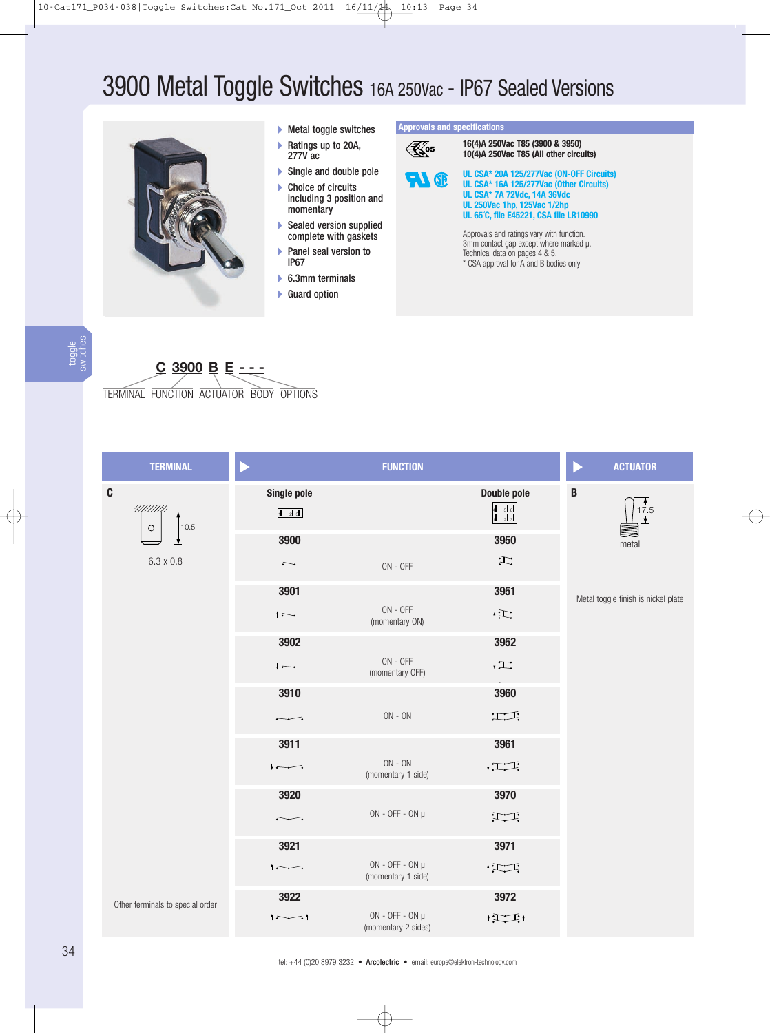# 3900 Metal Toggle Switches 16A 250Vac - IP67 Sealed Versions



#### Metal toggle switches

- ▶ Ratings up to 20A, 277V ac
- ▶ Single and double pole
- ▶ Choice of circuits including 3 position and momentary
- Sealed version supplied complete with gaskets
- Panel seal version to IP67
- ▶ 6.3mm terminals
- ▶ Guard option

**Approvals and specifications**

**16(4)A 250Vac T85 (3900 & 3950)**  $\mathbb{R}$ 05 **10(4)A 250Vac T85 (All other circuits) UL CSA\* 20A 125/277Vac (ON-OFF Circuits) FI** ® **UL CSA\* 16A 125/277Vac (Other Circuits) UL CSA\* 7A 72Vdc, 14A 36Vdc UL 250Vac 1hp, 125Vac 1/2hp UL 65˚C, file E45221, CSA file LR10990** Approvals and ratings vary with function. 3mm contact gap except where marked µ. Technical data on pages 4 & 5. \* CSA approval for A and B bodies only

## **C 3900 B E - - -**

TERMINAL FUNCTION ACTUATOR BODY OPTIONS

| <b>TERMINAL</b>                  |                          | <b>FUNCTION</b>                          |                                                             | <b>ACTUATOR</b><br>D                |
|----------------------------------|--------------------------|------------------------------------------|-------------------------------------------------------------|-------------------------------------|
| $\mathbf{C}$                     | Single pole              |                                          | Double pole                                                 | $\, {\bf B}$                        |
| 11/11/11/1<br>10.5<br>$\circ$    | 123                      |                                          | $\begin{array}{ c c }\n4 & 5 & 6 \\ 1 & 2 & 3\n\end{array}$ | 17.5<br><u>▼</u>                    |
|                                  | 3900                     |                                          | 3950                                                        | metal                               |
| $6.3 \times 0.8$                 | $\overline{\phantom{a}}$ | $ON - OFF$                               | $\mathbb{H}$                                                |                                     |
|                                  | 3901                     |                                          | 3951                                                        | Metal toggle finish is nickel plate |
|                                  | $\overline{\phantom{a}}$ | $ON - OFF$<br>(momentary ON)             | $\mathbf{E}$                                                |                                     |
|                                  | 3902                     |                                          | 3952                                                        |                                     |
|                                  | $\overline{ }$           | $ON - OFF$<br>(momentary OFF)            | $\mathfrak{l}\mathbb{Z}$                                    |                                     |
|                                  | 3910                     |                                          | 3960                                                        |                                     |
|                                  | $\overline{\phantom{a}}$ | $\mathsf{ON}$ - $\mathsf{ON}$            | 工工                                                          |                                     |
|                                  | 3911                     |                                          | 3961                                                        |                                     |
|                                  | $\overline{\phantom{a}}$ | $ON - ON$<br>(momentary 1 side)          | $\downarrow$ $\uparrow$ $\uparrow$ $\uparrow$ $\uparrow$    |                                     |
|                                  | 3920                     |                                          | 3970                                                        |                                     |
|                                  | <del>.</del>             | $ON - OFF - ON$ µ                        | $\sum$                                                      |                                     |
|                                  | 3921                     |                                          | 3971                                                        |                                     |
|                                  | $\sim$                   | $ON - OFF - ON$ µ<br>(momentary 1 side)  | $\mathbf{1}$                                                |                                     |
| Other terminals to special order | 3922                     |                                          | 3972                                                        |                                     |
|                                  | $\sim$                   | $ON - OFF - ON$ µ<br>(momentary 2 sides) | $ \sum_{i=1}^{n}$                                           |                                     |